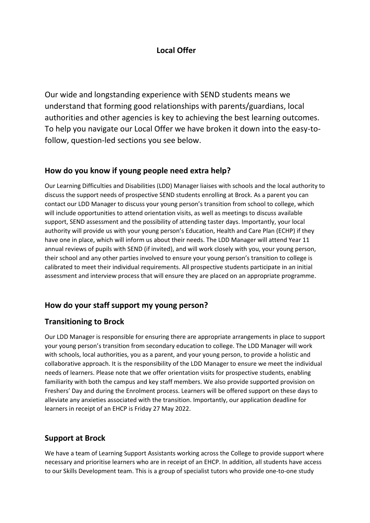# **Local Offer**

Our wide and longstanding experience with SEND students means we understand that forming good relationships with parents/guardians, local authorities and other agencies is key to achieving the best learning outcomes. To help you navigate our Local Offer we have broken it down into the easy-tofollow, question-led sections you see below.

### **How do you know if young people need extra help?**

Our Learning Difficulties and Disabilities (LDD) Manager liaises with schools and the local authority to discuss the support needs of prospective SEND students enrolling at Brock. As a parent you can contact our LDD Manager to discuss your young person's transition from school to college, which will include opportunities to attend orientation visits, as well as meetings to discuss available support, SEND assessment and the possibility of attending taster days. Importantly, your local authority will provide us with your young person's Education, Health and Care Plan (ECHP) if they have one in place, which will inform us about their needs. The LDD Manager will attend Year 11 annual reviews of pupils with SEND (if invited), and will work closely with you, your young person, their school and any other parties involved to ensure your young person's transition to college is calibrated to meet their individual requirements. All prospective students participate in an initial assessment and interview process that will ensure they are placed on an appropriate programme.

# **How do your staff support my young person?**

# **Transitioning to Brock**

Our LDD Manager is responsible for ensuring there are appropriate arrangements in place to support your young person's transition from secondary education to college. The LDD Manager will work with schools, local authorities, you as a parent, and your young person, to provide a holistic and collaborative approach. It is the responsibility of the LDD Manager to ensure we meet the individual needs of learners. Please note that we offer orientation visits for prospective students, enabling familiarity with both the campus and key staff members. We also provide supported provision on Freshers' Day and during the Enrolment process. Learners will be offered support on these days to alleviate any anxieties associated with the transition. Importantly, our application deadline for learners in receipt of an EHCP is Friday 27 May 2022.

# **Support at Brock**

We have a team of Learning Support Assistants working across the College to provide support where necessary and prioritise learners who are in receipt of an EHCP. In addition, all students have access to our Skills Development team. This is a group of specialist tutors who provide one-to-one study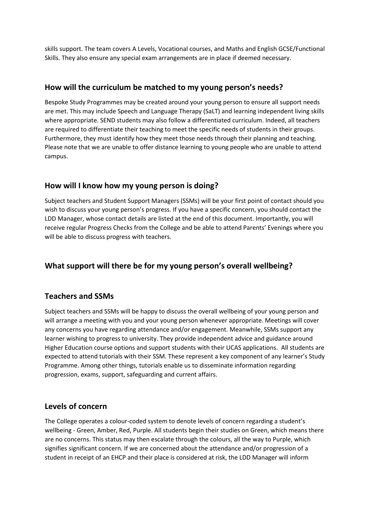skills support. The team covers A Levels, Vocational courses, and Maths and English GCSE/Functional Skills. They also ensure any special exam arrangements are in place if deemed necessary.

### **How will the curriculum be matched to my young person's needs?**

Bespoke Study Programmes may be created around your young person to ensure all support needs are met. This may include Speech and Language Therapy (SaLT) and learning independent living skills where appropriate. SEND students may also follow a differentiated curriculum. Indeed, all teachers are required to differentiate their teaching to meet the specific needs of students in their groups. Furthermore, they must identify how they meet those needs through their planning and teaching. Please note that we are unable to offer distance learning to young people who are unable to attend campus.

## **How will I know how my young person is doing?**

Subject teachers and Student Support Managers (SSMs) will be your first point of contact should you wish to discuss your young person's progress. If you have a specific concern, you should contact the LDD Manager, whose contact details are listed at the end of this document. Importantly, you will receive regular Progress Checks from the College and be able to attend Parents' Evenings where you will be able to discuss progress with teachers.

# **What support will there be for my young person's overall wellbeing?**

# **Teachers and SSMs**

Subject teachers and SSMs will be happy to discuss the overall wellbeing of your young person and will arrange a meeting with you and your young person whenever appropriate. Meetings will cover any concerns you have regarding attendance and/or engagement. Meanwhile, SSMs support any learner wishing to progress to university. They provide independent advice and guidance around Higher Education course options and support students with their UCAS applications. All students are expected to attend tutorials with their SSM. These represent a key component of any learner's Study Programme. Among other things, tutorials enable us to disseminate information regarding progression, exams, support, safeguarding and current affairs.

# **Levels of concern**

The College operates a colour-coded system to denote levels of concern regarding a student's wellbeing - Green, Amber, Red, Purple. All students begin their studies on Green, which means there are no concerns. This status may then escalate through the colours, all the way to Purple, which signifies significant concern. If we are concerned about the attendance and/or progression of a student in receipt of an EHCP and their place is considered at risk, the LDD Manager will inform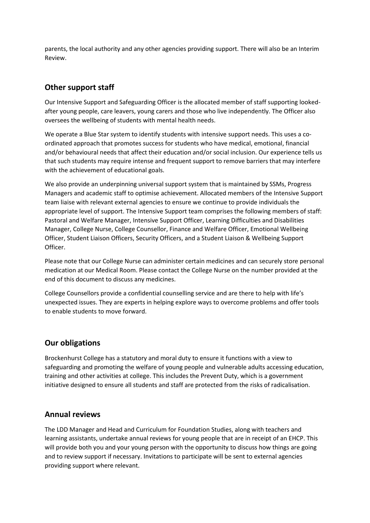parents, the local authority and any other agencies providing support. There will also be an Interim Review.

## **Other support staff**

Our Intensive Support and Safeguarding Officer is the allocated member of staff supporting lookedafter young people, care leavers, young carers and those who live independently. The Officer also oversees the wellbeing of students with mental health needs.

We operate a Blue Star system to identify students with intensive support needs. This uses a coordinated approach that promotes success for students who have medical, emotional, financial and/or behavioural needs that affect their education and/or social inclusion. Our experience tells us that such students may require intense and frequent support to remove barriers that may interfere with the achievement of educational goals.

We also provide an underpinning universal support system that is maintained by SSMs, Progress Managers and academic staff to optimise achievement. Allocated members of the Intensive Support team liaise with relevant external agencies to ensure we continue to provide individuals the appropriate level of support. The Intensive Support team comprises the following members of staff: Pastoral and Welfare Manager, Intensive Support Officer, Learning Difficulties and Disabilities Manager, College Nurse, College Counsellor, Finance and Welfare Officer, Emotional Wellbeing Officer, Student Liaison Officers, Security Officers, and a Student Liaison & Wellbeing Support Officer.

Please note that our College Nurse can administer certain medicines and can securely store personal medication at our Medical Room. Please contact the College Nurse on the number provided at the end of this document to discuss any medicines.

College Counsellors provide a confidential counselling service and are there to help with life's unexpected issues. They are experts in helping explore ways to overcome problems and offer tools to enable students to move forward.

### **Our obligations**

Brockenhurst College has a statutory and moral duty to ensure it functions with a view to safeguarding and promoting the welfare of young people and vulnerable adults accessing education, training and other activities at college. This includes the Prevent Duty, which is a government initiative designed to ensure all students and staff are protected from the risks of radicalisation.

### **Annual reviews**

The LDD Manager and Head and Curriculum for Foundation Studies, along with teachers and learning assistants, undertake annual reviews for young people that are in receipt of an EHCP. This will provide both you and your young person with the opportunity to discuss how things are going and to review support if necessary. Invitations to participate will be sent to external agencies providing support where relevant.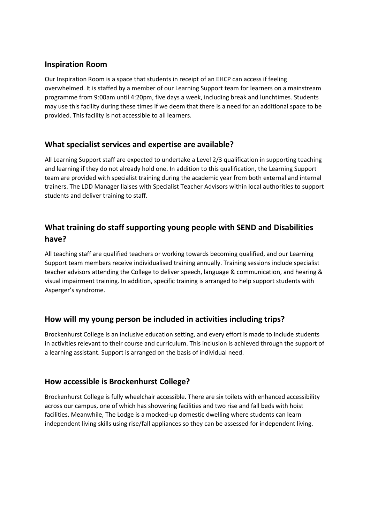## **Inspiration Room**

Our Inspiration Room is a space that students in receipt of an EHCP can access if feeling overwhelmed. It is staffed by a member of our Learning Support team for learners on a mainstream programme from 9:00am until 4:20pm, five days a week, including break and lunchtimes. Students may use this facility during these times if we deem that there is a need for an additional space to be provided. This facility is not accessible to all learners.

### **What specialist services and expertise are available?**

All Learning Support staff are expected to undertake a Level 2/3 qualification in supporting teaching and learning if they do not already hold one. In addition to this qualification, the Learning Support team are provided with specialist training during the academic year from both external and internal trainers. The LDD Manager liaises with Specialist Teacher Advisors within local authorities to support students and deliver training to staff.

# **What training do staff supporting young people with SEND and Disabilities have?**

All teaching staff are qualified teachers or working towards becoming qualified, and our Learning Support team members receive individualised training annually. Training sessions include specialist teacher advisors attending the College to deliver speech, language & communication, and hearing & visual impairment training. In addition, specific training is arranged to help support students with Asperger's syndrome.

### **How will my young person be included in activities including trips?**

Brockenhurst College is an inclusive education setting, and every effort is made to include students in activities relevant to their course and curriculum. This inclusion is achieved through the support of a learning assistant. Support is arranged on the basis of individual need.

### **How accessible is Brockenhurst College?**

Brockenhurst College is fully wheelchair accessible. There are six toilets with enhanced accessibility across our campus, one of which has showering facilities and two rise and fall beds with hoist facilities. Meanwhile, The Lodge is a mocked-up domestic dwelling where students can learn independent living skills using rise/fall appliances so they can be assessed for independent living.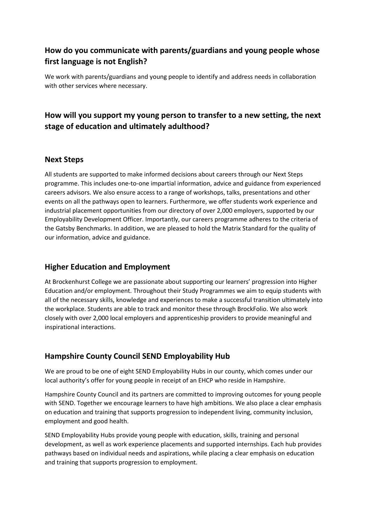# **How do you communicate with parents/guardians and young people whose first language is not English?**

We work with parents/guardians and young people to identify and address needs in collaboration with other services where necessary.

# **How will you support my young person to transfer to a new setting, the next stage of education and ultimately adulthood?**

### **Next Steps**

All students are supported to make informed decisions about careers through our Next Steps programme. This includes one-to-one impartial information, advice and guidance from experienced careers advisors. We also ensure access to a range of workshops, talks, presentations and other events on all the pathways open to learners. Furthermore, we offer students work experience and industrial placement opportunities from our directory of over 2,000 employers, supported by our Employability Development Officer. Importantly, our careers programme adheres to the criteria of the Gatsby Benchmarks. In addition, we are pleased to hold the Matrix Standard for the quality of our information, advice and guidance.

### **Higher Education and Employment**

At Brockenhurst College we are passionate about supporting our learners' progression into Higher Education and/or employment. Throughout their Study Programmes we aim to equip students with all of the necessary skills, knowledge and experiences to make a successful transition ultimately into the workplace. Students are able to track and monitor these through BrockFolio. We also work closely with over 2,000 local employers and apprenticeship providers to provide meaningful and inspirational interactions.

# **Hampshire County Council SEND Employability Hub**

We are proud to be one of eight SEND Employability Hubs in our county, which comes under our local authority's offer for young people in receipt of an EHCP who reside in Hampshire.

Hampshire County Council and its partners are committed to improving outcomes for young people with SEND. Together we encourage learners to have high ambitions. We also place a clear emphasis on education and training that supports progression to independent living, community inclusion, employment and good health.

SEND Employability Hubs provide young people with education, skills, training and personal development, as well as work experience placements and supported internships. Each hub provides pathways based on individual needs and aspirations, while placing a clear emphasis on education and training that supports progression to employment.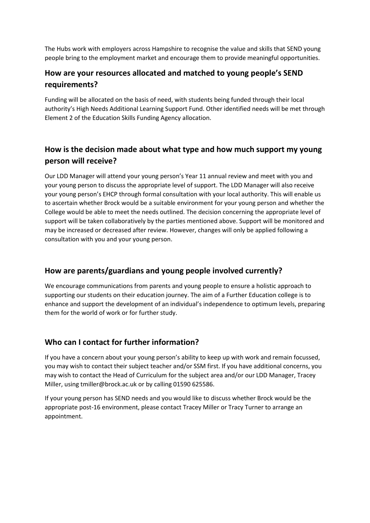The Hubs work with employers across Hampshire to recognise the value and skills that SEND young people bring to the employment market and encourage them to provide meaningful opportunities.

# **How are your resources allocated and matched to young people's SEND requirements?**

Funding will be allocated on the basis of need, with students being funded through their local authority's High Needs Additional Learning Support Fund. Other identified needs will be met through Element 2 of the Education Skills Funding Agency allocation.

# **How is the decision made about what type and how much support my young person will receive?**

Our LDD Manager will attend your young person's Year 11 annual review and meet with you and your young person to discuss the appropriate level of support. The LDD Manager will also receive your young person's EHCP through formal consultation with your local authority. This will enable us to ascertain whether Brock would be a suitable environment for your young person and whether the College would be able to meet the needs outlined. The decision concerning the appropriate level of support will be taken collaboratively by the parties mentioned above. Support will be monitored and may be increased or decreased after review. However, changes will only be applied following a consultation with you and your young person.

# **How are parents/guardians and young people involved currently?**

We encourage communications from parents and young people to ensure a holistic approach to supporting our students on their education journey. The aim of a Further Education college is to enhance and support the development of an individual's independence to optimum levels, preparing them for the world of work or for further study.

# **Who can I contact for further information?**

If you have a concern about your young person's ability to keep up with work and remain focussed, you may wish to contact their subject teacher and/or SSM first. If you have additional concerns, you may wish to contact the Head of Curriculum for the subject area and/or our LDD Manager, Tracey Miller, using tmiller@brock.ac.uk or by calling 01590 625586.

If your young person has SEND needs and you would like to discuss whether Brock would be the appropriate post-16 environment, please contact Tracey Miller or Tracy Turner to arrange an appointment.